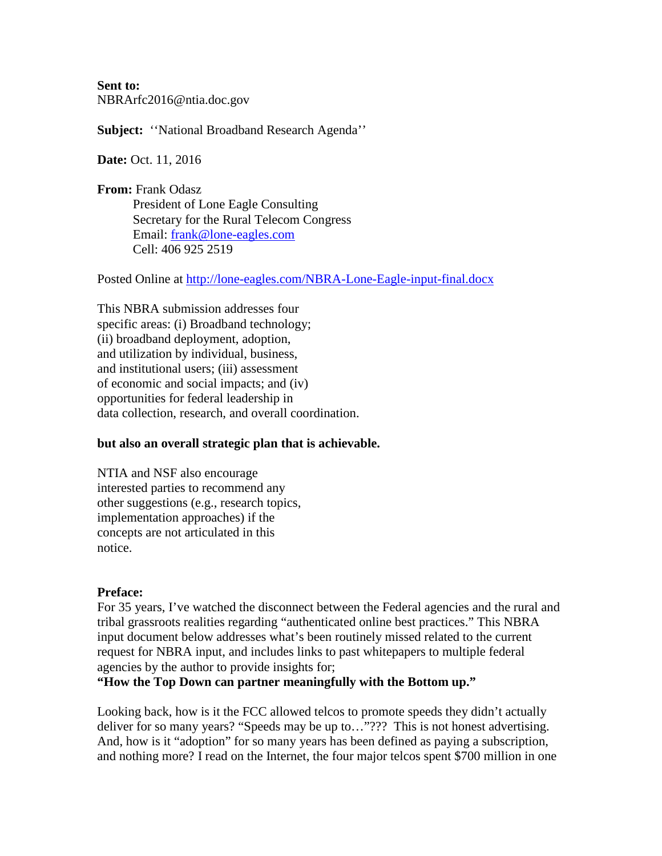**Sent to:** NBRArfc2016@ntia.doc.gov

**Subject:** ''National Broadband Research Agenda''

**Date:** Oct. 11, 2016

**From:** Frank Odasz President of Lone Eagle Consulting Secretary for the Rural Telecom Congress Email: [frank@lone-eagles.com](mailto:frank@lone-eagles.com) Cell: 406 925 2519

Posted Online at<http://lone-eagles.com/NBRA-Lone-Eagle-input-final.docx>

This NBRA submission addresses four specific areas: (i) Broadband technology; (ii) broadband deployment, adoption, and utilization by individual, business, and institutional users; (iii) assessment of economic and social impacts; and (iv) opportunities for federal leadership in data collection, research, and overall coordination.

#### **but also an overall strategic plan that is achievable.**

NTIA and NSF also encourage interested parties to recommend any other suggestions (e.g., research topics, implementation approaches) if the concepts are not articulated in this notice.

### **Preface:**

For 35 years, I've watched the disconnect between the Federal agencies and the rural and tribal grassroots realities regarding "authenticated online best practices." This NBRA input document below addresses what's been routinely missed related to the current request for NBRA input, and includes links to past whitepapers to multiple federal agencies by the author to provide insights for;

**"How the Top Down can partner meaningfully with the Bottom up."**

Looking back, how is it the FCC allowed telcos to promote speeds they didn't actually deliver for so many years? "Speeds may be up to…"??? This is not honest advertising. And, how is it "adoption" for so many years has been defined as paying a subscription, and nothing more? I read on the Internet, the four major telcos spent \$700 million in one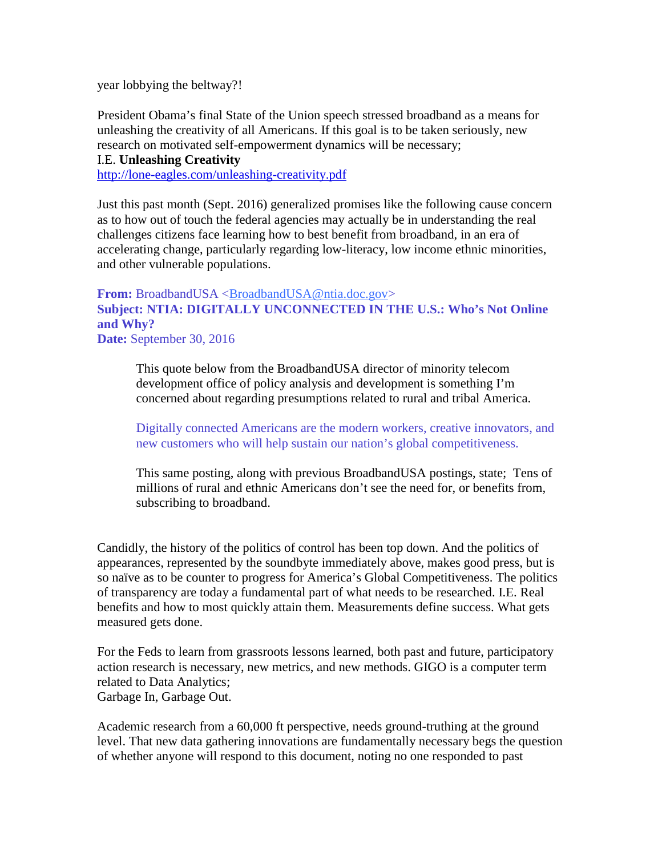year lobbying the beltway?!

President Obama's final State of the Union speech stressed broadband as a means for unleashing the creativity of all Americans. If this goal is to be taken seriously, new research on motivated self-empowerment dynamics will be necessary;

I.E. **Unleashing Creativity**

<http://lone-eagles.com/unleashing-creativity.pdf>

Just this past month (Sept. 2016) generalized promises like the following cause concern as to how out of touch the federal agencies may actually be in understanding the real challenges citizens face learning how to best benefit from broadband, in an era of accelerating change, particularly regarding low-literacy, low income ethnic minorities, and other vulnerable populations.

### **From:** BroadbandUSA [<BroadbandUSA@ntia.doc.gov>](mailto:BroadbandUSA@ntia.doc.gov) **Subject: NTIA: DIGITALLY UNCONNECTED IN THE U.S.: Who's Not Online and Why? Date:** September 30, 2016

This quote below from the BroadbandUSA director of minority telecom development office of policy analysis and development is something I'm concerned about regarding presumptions related to rural and tribal America.

Digitally connected Americans are the modern workers, creative innovators, and new customers who will help sustain our nation's global competitiveness.

This same posting, along with previous BroadbandUSA postings, state; Tens of millions of rural and ethnic Americans don't see the need for, or benefits from, subscribing to broadband.

Candidly, the history of the politics of control has been top down. And the politics of appearances, represented by the soundbyte immediately above, makes good press, but is so naïve as to be counter to progress for America's Global Competitiveness. The politics of transparency are today a fundamental part of what needs to be researched. I.E. Real benefits and how to most quickly attain them. Measurements define success. What gets measured gets done.

For the Feds to learn from grassroots lessons learned, both past and future, participatory action research is necessary, new metrics, and new methods. GIGO is a computer term related to Data Analytics; Garbage In, Garbage Out.

Academic research from a 60,000 ft perspective, needs ground-truthing at the ground level. That new data gathering innovations are fundamentally necessary begs the question of whether anyone will respond to this document, noting no one responded to past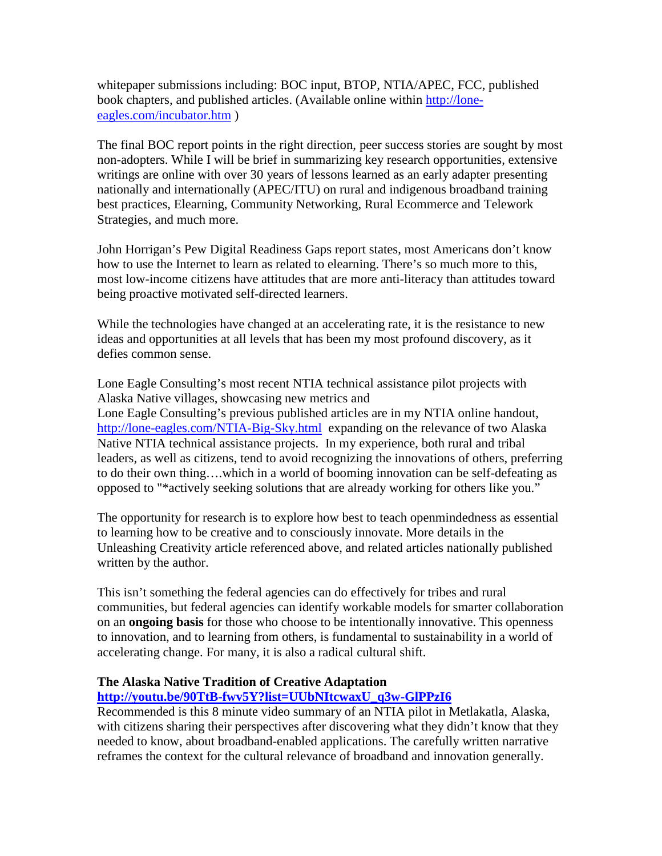whitepaper submissions including: BOC input, BTOP, NTIA/APEC, FCC, published book chapters, and published articles. (Available online within [http://lone](http://lone-eagles.com/incubator.htm)[eagles.com/incubator.htm](http://lone-eagles.com/incubator.htm) )

The final BOC report points in the right direction, peer success stories are sought by most non-adopters. While I will be brief in summarizing key research opportunities, extensive writings are online with over 30 years of lessons learned as an early adapter presenting nationally and internationally (APEC/ITU) on rural and indigenous broadband training best practices, Elearning, Community Networking, Rural Ecommerce and Telework Strategies, and much more.

John Horrigan's Pew Digital Readiness Gaps report states, most Americans don't know how to use the Internet to learn as related to elearning. There's so much more to this, most low-income citizens have attitudes that are more anti-literacy than attitudes toward being proactive motivated self-directed learners.

While the technologies have changed at an accelerating rate, it is the resistance to new ideas and opportunities at all levels that has been my most profound discovery, as it defies common sense.

Lone Eagle Consulting's most recent NTIA technical assistance pilot projects with Alaska Native villages, showcasing new metrics and Lone Eagle Consulting's previous published articles are in my NTIA online handout, <http://lone-eagles.com/NTIA-Big-Sky.html> expanding on the relevance of two Alaska Native NTIA technical assistance projects. In my experience, both rural and tribal leaders, as well as citizens, tend to avoid recognizing the innovations of others, preferring to do their own thing….which in a world of booming innovation can be self-defeating as opposed to "\*actively seeking solutions that are already working for others like you."

The opportunity for research is to explore how best to teach openmindedness as essential to learning how to be creative and to consciously innovate. More details in the Unleashing Creativity article referenced above, and related articles nationally published written by the author.

This isn't something the federal agencies can do effectively for tribes and rural communities, but federal agencies can identify workable models for smarter collaboration on an **ongoing basis** for those who choose to be intentionally innovative. This openness to innovation, and to learning from others, is fundamental to sustainability in a world of accelerating change. For many, it is also a radical cultural shift.

### **The Alaska Native Tradition of Creative Adaptation**

# **[http://youtu.be/90TtB-fwv5Y?list=UUbNItcwaxU\\_q3w-GlPPzI6](http://youtu.be/90TtB-fwv5Y?list=UUbNItcwaxU_q3w-GlPPzI6)**

Recommended is this 8 minute video summary of an NTIA pilot in Metlakatla, Alaska, with citizens sharing their perspectives after discovering what they didn't know that they needed to know, about broadband-enabled applications. The carefully written narrative reframes the context for the cultural relevance of broadband and innovation generally.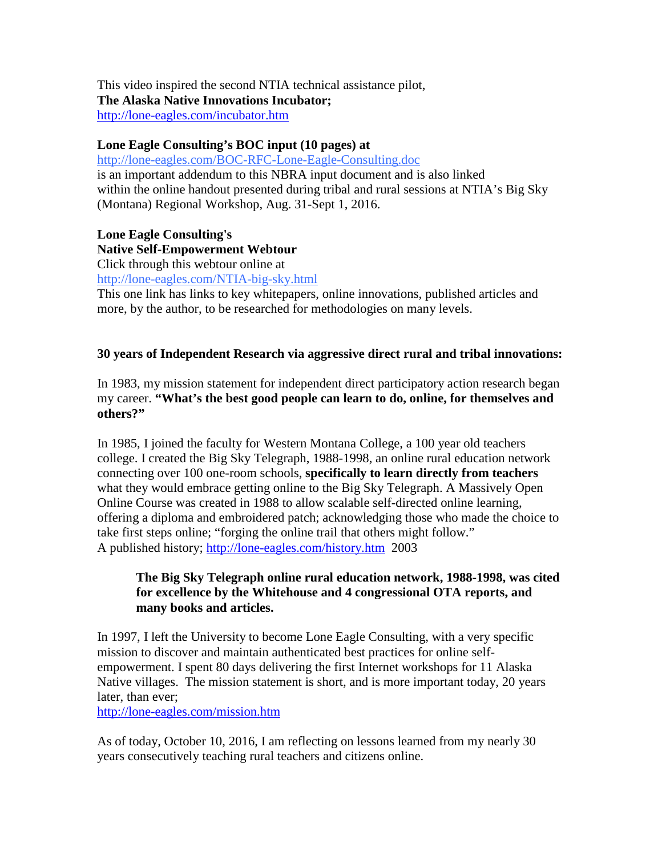This video inspired the second NTIA technical assistance pilot, **The Alaska Native Innovations Incubator;** <http://lone-eagles.com/incubator.htm>

### **Lone Eagle Consulting's BOC input (10 pages) at**

<http://lone-eagles.com/BOC-RFC-Lone-Eagle-Consulting.doc> is an important addendum to this NBRA input document and is also linked within the online handout presented during tribal and rural sessions at NTIA's Big Sky (Montana) Regional Workshop, Aug. 31-Sept 1, 2016.

# **Lone Eagle Consulting's**

# **Native Self-Empowerment Webtour**

Click through this webtour online at

<http://lone-eagles.com/NTIA-big-sky.html>

This one link has links to key whitepapers, online innovations, published articles and more, by the author, to be researched for methodologies on many levels.

# **30 years of Independent Research via aggressive direct rural and tribal innovations:**

In 1983, my mission statement for independent direct participatory action research began my career. **"What's the best good people can learn to do, online, for themselves and others?"**

In 1985, I joined the faculty for Western Montana College, a 100 year old teachers college. I created the Big Sky Telegraph, 1988-1998, an online rural education network connecting over 100 one-room schools, **specifically to learn directly from teachers** what they would embrace getting online to the Big Sky Telegraph. A Massively Open Online Course was created in 1988 to allow scalable self-directed online learning, offering a diploma and embroidered patch; acknowledging those who made the choice to take first steps online; "forging the online trail that others might follow." A published history;<http://lone-eagles.com/history.htm>2003

# **The Big Sky Telegraph online rural education network, 1988-1998, was cited for excellence by the Whitehouse and 4 congressional OTA reports, and many books and articles.**

In 1997, I left the University to become Lone Eagle Consulting, with a very specific mission to discover and maintain authenticated best practices for online selfempowerment. I spent 80 days delivering the first Internet workshops for 11 Alaska Native villages. The mission statement is short, and is more important today, 20 years later, than ever;

<http://lone-eagles.com/mission.htm>

As of today, October 10, 2016, I am reflecting on lessons learned from my nearly 30 years consecutively teaching rural teachers and citizens online.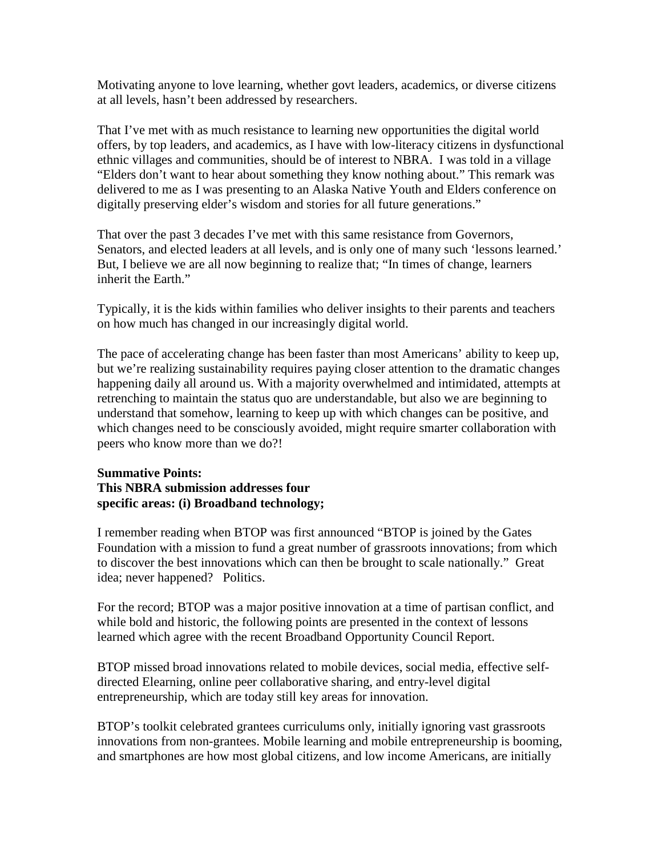Motivating anyone to love learning, whether govt leaders, academics, or diverse citizens at all levels, hasn't been addressed by researchers.

That I've met with as much resistance to learning new opportunities the digital world offers, by top leaders, and academics, as I have with low-literacy citizens in dysfunctional ethnic villages and communities, should be of interest to NBRA. I was told in a village "Elders don't want to hear about something they know nothing about." This remark was delivered to me as I was presenting to an Alaska Native Youth and Elders conference on digitally preserving elder's wisdom and stories for all future generations."

That over the past 3 decades I've met with this same resistance from Governors, Senators, and elected leaders at all levels, and is only one of many such 'lessons learned.' But, I believe we are all now beginning to realize that; "In times of change, learners inherit the Earth."

Typically, it is the kids within families who deliver insights to their parents and teachers on how much has changed in our increasingly digital world.

The pace of accelerating change has been faster than most Americans' ability to keep up, but we're realizing sustainability requires paying closer attention to the dramatic changes happening daily all around us. With a majority overwhelmed and intimidated, attempts at retrenching to maintain the status quo are understandable, but also we are beginning to understand that somehow, learning to keep up with which changes can be positive, and which changes need to be consciously avoided, might require smarter collaboration with peers who know more than we do?!

# **Summative Points: This NBRA submission addresses four specific areas: (i) Broadband technology;**

I remember reading when BTOP was first announced "BTOP is joined by the Gates Foundation with a mission to fund a great number of grassroots innovations; from which to discover the best innovations which can then be brought to scale nationally." Great idea; never happened? Politics.

For the record; BTOP was a major positive innovation at a time of partisan conflict, and while bold and historic, the following points are presented in the context of lessons learned which agree with the recent Broadband Opportunity Council Report.

BTOP missed broad innovations related to mobile devices, social media, effective selfdirected Elearning, online peer collaborative sharing, and entry-level digital entrepreneurship, which are today still key areas for innovation.

BTOP's toolkit celebrated grantees curriculums only, initially ignoring vast grassroots innovations from non-grantees. Mobile learning and mobile entrepreneurship is booming, and smartphones are how most global citizens, and low income Americans, are initially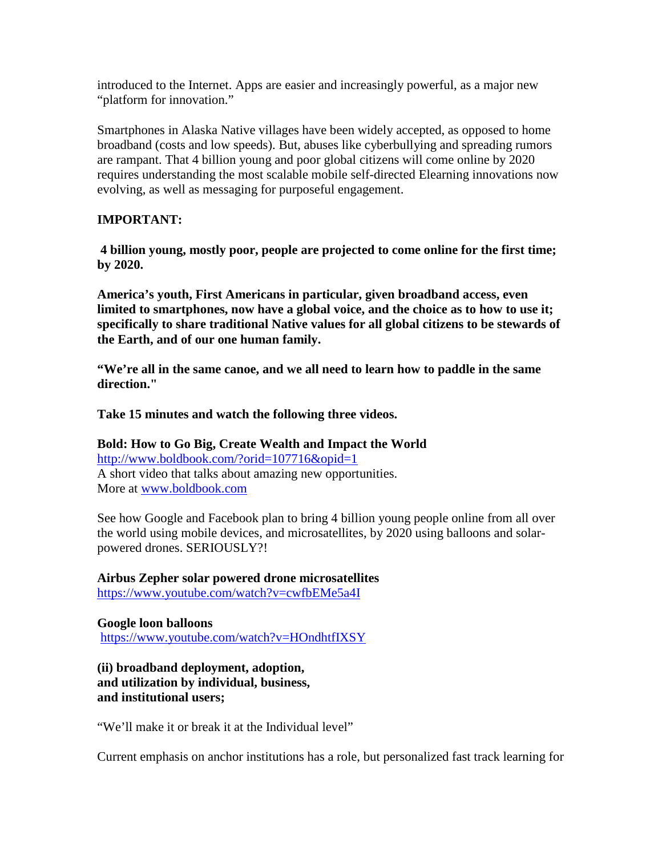introduced to the Internet. Apps are easier and increasingly powerful, as a major new "platform for innovation."

Smartphones in Alaska Native villages have been widely accepted, as opposed to home broadband (costs and low speeds). But, abuses like cyberbullying and spreading rumors are rampant. That 4 billion young and poor global citizens will come online by 2020 requires understanding the most scalable mobile self-directed Elearning innovations now evolving, as well as messaging for purposeful engagement.

# **IMPORTANT:**

**4 billion young, mostly poor, people are projected to come online for the first time; by 2020.**

**America's youth, First Americans in particular, given broadband access, even limited to smartphones, now have a global voice, and the choice as to how to use it; specifically to share traditional Native values for all global citizens to be stewards of the Earth, and of our one human family.**

**"We're all in the same canoe, and we all need to learn how to paddle in the same direction."**

**Take 15 minutes and watch the following three videos.** 

**Bold: How to Go Big, Create Wealth and Impact the World** <http://www.boldbook.com/?orid=107716&opid=1> A short video that talks about amazing new opportunities. More at [www.boldbook.com](http://www.boldbook.com/)

See how Google and Facebook plan to bring 4 billion young people online from all over the world using mobile devices, and microsatellites, by 2020 using balloons and solarpowered drones. SERIOUSLY?!

**Airbus Zepher solar powered drone microsatellites**  <https://www.youtube.com/watch?v=cwfbEMe5a4I>

**Google loon balloons**  <https://www.youtube.com/watch?v=HOndhtfIXSY>

**(ii) broadband deployment, adoption, and utilization by individual, business, and institutional users;** 

"We'll make it or break it at the Individual level"

Current emphasis on anchor institutions has a role, but personalized fast track learning for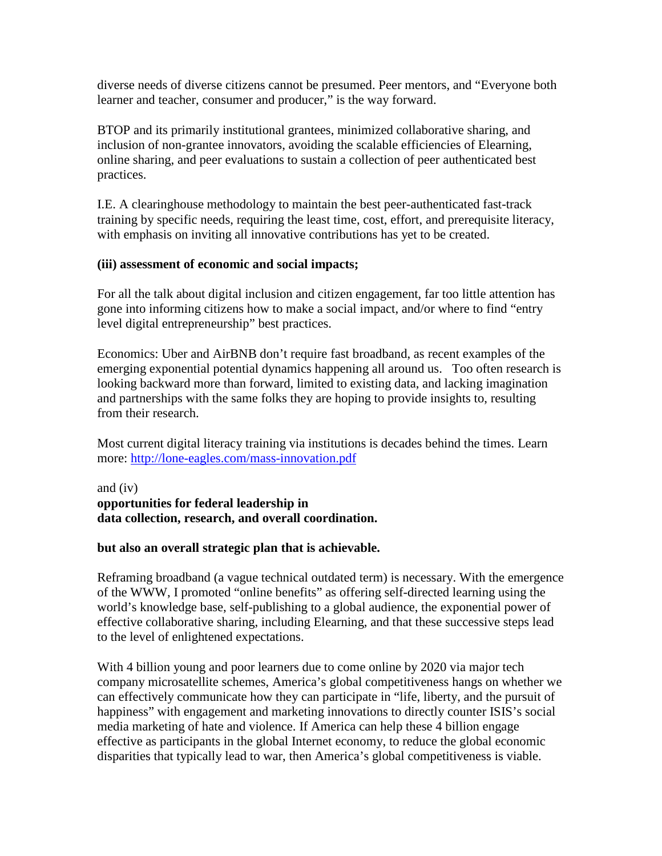diverse needs of diverse citizens cannot be presumed. Peer mentors, and "Everyone both learner and teacher, consumer and producer," is the way forward.

BTOP and its primarily institutional grantees, minimized collaborative sharing, and inclusion of non-grantee innovators, avoiding the scalable efficiencies of Elearning, online sharing, and peer evaluations to sustain a collection of peer authenticated best practices.

I.E. A clearinghouse methodology to maintain the best peer-authenticated fast-track training by specific needs, requiring the least time, cost, effort, and prerequisite literacy, with emphasis on inviting all innovative contributions has yet to be created.

### **(iii) assessment of economic and social impacts;**

For all the talk about digital inclusion and citizen engagement, far too little attention has gone into informing citizens how to make a social impact, and/or where to find "entry level digital entrepreneurship" best practices.

Economics: Uber and AirBNB don't require fast broadband, as recent examples of the emerging exponential potential dynamics happening all around us. Too often research is looking backward more than forward, limited to existing data, and lacking imagination and partnerships with the same folks they are hoping to provide insights to, resulting from their research.

Most current digital literacy training via institutions is decades behind the times. Learn more:<http://lone-eagles.com/mass-innovation.pdf>

and (iv) **opportunities for federal leadership in data collection, research, and overall coordination.**

### **but also an overall strategic plan that is achievable.**

Reframing broadband (a vague technical outdated term) is necessary. With the emergence of the WWW, I promoted "online benefits" as offering self-directed learning using the world's knowledge base, self-publishing to a global audience, the exponential power of effective collaborative sharing, including Elearning, and that these successive steps lead to the level of enlightened expectations.

With 4 billion young and poor learners due to come online by 2020 via major tech company microsatellite schemes, America's global competitiveness hangs on whether we can effectively communicate how they can participate in "life, liberty, and the pursuit of happiness" with engagement and marketing innovations to directly counter ISIS's social media marketing of hate and violence. If America can help these 4 billion engage effective as participants in the global Internet economy, to reduce the global economic disparities that typically lead to war, then America's global competitiveness is viable.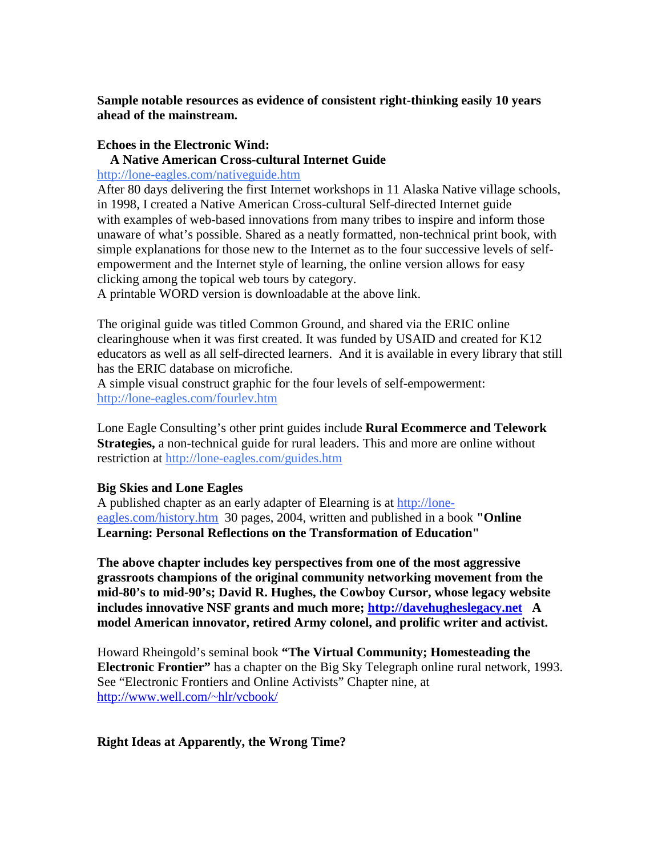**Sample notable resources as evidence of consistent right-thinking easily 10 years ahead of the mainstream.**

### **Echoes in the Electronic Wind:**

#### **A Native American Cross-cultural Internet Guide**

<http://lone-eagles.com/nativeguide.htm>

After 80 days delivering the first Internet workshops in 11 Alaska Native village schools, in 1998, I created a Native American Cross-cultural Self-directed Internet guide with examples of web-based innovations from many tribes to inspire and inform those unaware of what's possible. Shared as a neatly formatted, non-technical print book, with simple explanations for those new to the Internet as to the four successive levels of selfempowerment and the Internet style of learning, the online version allows for easy clicking among the topical web tours by category.

A printable WORD version is downloadable at the above link.

The original guide was titled Common Ground, and shared via the ERIC online clearinghouse when it was first created. It was funded by USAID and created for K12 educators as well as all self-directed learners. And it is available in every library that still has the ERIC database on microfiche.

A simple visual construct graphic for the four levels of self-empowerment: <http://lone-eagles.com/fourlev.htm>

Lone Eagle Consulting's other print guides include **Rural Ecommerce and Telework Strategies,** a non-technical guide for rural leaders. This and more are online without restriction at<http://lone-eagles.com/guides.htm>

### **Big Skies and Lone Eagles**

A published chapter as an early adapter of Elearning is at [http://lone](http://lone-eagles.com/history.htm)[eagles.com/history.htm](http://lone-eagles.com/history.htm) 30 pages, 2004, written and published in a book **"Online Learning: Personal Reflections on the Transformation of Education"** 

**The above chapter includes key perspectives from one of the most aggressive grassroots champions of the original community networking movement from the mid-80's to mid-90's; David R. Hughes, the Cowboy Cursor, whose legacy website includes innovative NSF grants and much more; [http://davehugheslegacy.net](http://davehugheslegacy.net/) A model American innovator, retired Army colonel, and prolific writer and activist.**

Howard Rheingold's seminal book **"The Virtual Community; Homesteading the Electronic Frontier"** has a chapter on the Big Sky Telegraph online rural network, 1993. See "Electronic Frontiers and Online Activists" Chapter nine, at <http://www.well.com/~hlr/vcbook/>

### **Right Ideas at Apparently, the Wrong Time?**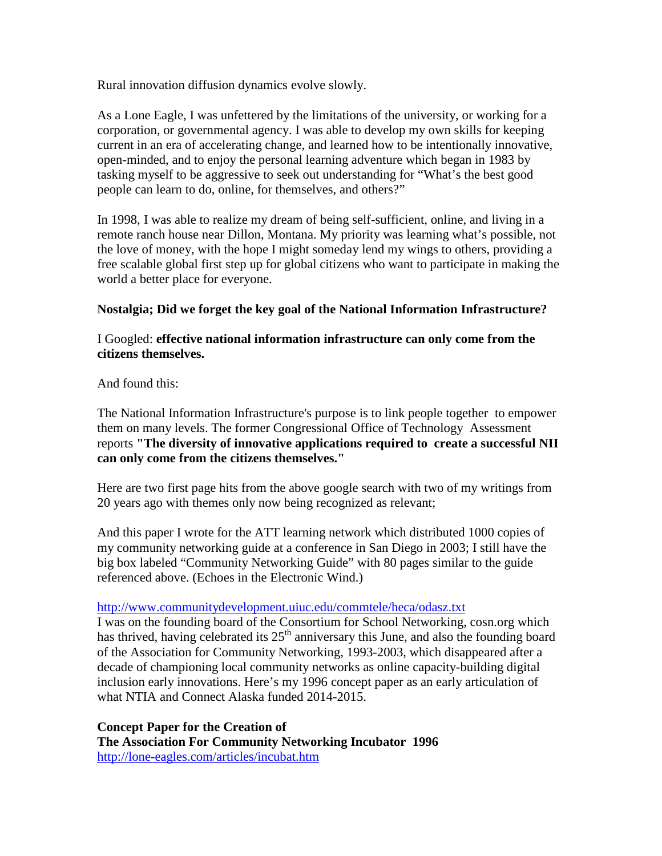Rural innovation diffusion dynamics evolve slowly.

As a Lone Eagle, I was unfettered by the limitations of the university, or working for a corporation, or governmental agency. I was able to develop my own skills for keeping current in an era of accelerating change, and learned how to be intentionally innovative, open-minded, and to enjoy the personal learning adventure which began in 1983 by tasking myself to be aggressive to seek out understanding for "What's the best good people can learn to do, online, for themselves, and others?"

In 1998, I was able to realize my dream of being self-sufficient, online, and living in a remote ranch house near Dillon, Montana. My priority was learning what's possible, not the love of money, with the hope I might someday lend my wings to others, providing a free scalable global first step up for global citizens who want to participate in making the world a better place for everyone.

# **Nostalgia; Did we forget the key goal of the National Information Infrastructure?**

# I Googled: **effective national information infrastructure can only come from the citizens themselves.**

And found this:

The National Information Infrastructure's purpose is to link people together to empower them on many levels. The former Congressional Office of Technology Assessment reports **"The diversity of innovative applications required to create a successful NII can only come from the citizens themselves."** 

Here are two first page hits from the above google search with two of my writings from 20 years ago with themes only now being recognized as relevant;

And this paper I wrote for the ATT learning network which distributed 1000 copies of my community networking guide at a conference in San Diego in 2003; I still have the big box labeled "Community Networking Guide" with 80 pages similar to the guide referenced above. (Echoes in the Electronic Wind.)

### <http://www.communitydevelopment.uiuc.edu/commtele/heca/odasz.txt>

I was on the founding board of the Consortium for School Networking, cosn.org which has thrived, having celebrated its  $25<sup>th</sup>$  anniversary this June, and also the founding board of the Association for Community Networking, 1993-2003, which disappeared after a decade of championing local community networks as online capacity-building digital inclusion early innovations. Here's my 1996 concept paper as an early articulation of what NTIA and Connect Alaska funded 2014-2015.

**Concept Paper for the Creation of The Association For Community Networking Incubator 1996** <http://lone-eagles.com/articles/incubat.htm>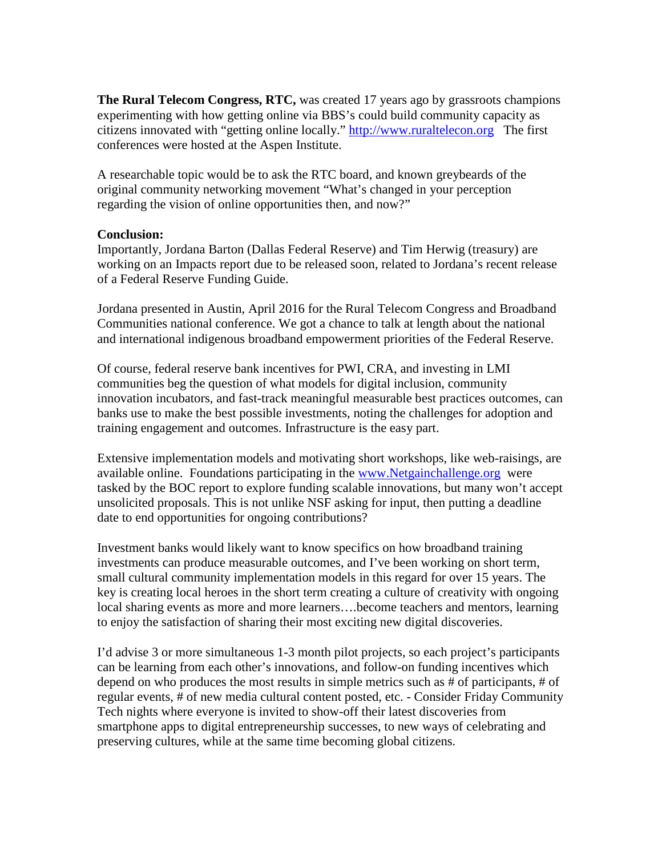**The Rural Telecom Congress, RTC,** was created 17 years ago by grassroots champions experimenting with how getting online via BBS's could build community capacity as citizens innovated with "getting online locally." [http://www.ruraltelecon.org](http://www.ruraltelecon.org/) The first conferences were hosted at the Aspen Institute.

A researchable topic would be to ask the RTC board, and known greybeards of the original community networking movement "What's changed in your perception regarding the vision of online opportunities then, and now?"

### **Conclusion:**

Importantly, Jordana Barton (Dallas Federal Reserve) and Tim Herwig (treasury) are working on an Impacts report due to be released soon, related to Jordana's recent release of a Federal Reserve Funding Guide.

Jordana presented in Austin, April 2016 for the Rural Telecom Congress and Broadband Communities national conference. We got a chance to talk at length about the national and international indigenous broadband empowerment priorities of the Federal Reserve.

Of course, federal reserve bank incentives for PWI, CRA, and investing in LMI communities beg the question of what models for digital inclusion, community innovation incubators, and fast-track meaningful measurable best practices outcomes, can banks use to make the best possible investments, noting the challenges for adoption and training engagement and outcomes. Infrastructure is the easy part.

Extensive implementation models and motivating short workshops, like web-raisings, are available online. Foundations participating in the [www.Netgainchallenge.org](http://www.netgainchallenge.org/) were tasked by the BOC report to explore funding scalable innovations, but many won't accept unsolicited proposals. This is not unlike NSF asking for input, then putting a deadline date to end opportunities for ongoing contributions?

Investment banks would likely want to know specifics on how broadband training investments can produce measurable outcomes, and I've been working on short term, small cultural community implementation models in this regard for over 15 years. The key is creating local heroes in the short term creating a culture of creativity with ongoing local sharing events as more and more learners….become teachers and mentors, learning to enjoy the satisfaction of sharing their most exciting new digital discoveries.

I'd advise 3 or more simultaneous 1-3 month pilot projects, so each project's participants can be learning from each other's innovations, and follow-on funding incentives which depend on who produces the most results in simple metrics such as # of participants, # of regular events, # of new media cultural content posted, etc. - Consider Friday Community Tech nights where everyone is invited to show-off their latest discoveries from smartphone apps to digital entrepreneurship successes, to new ways of celebrating and preserving cultures, while at the same time becoming global citizens.